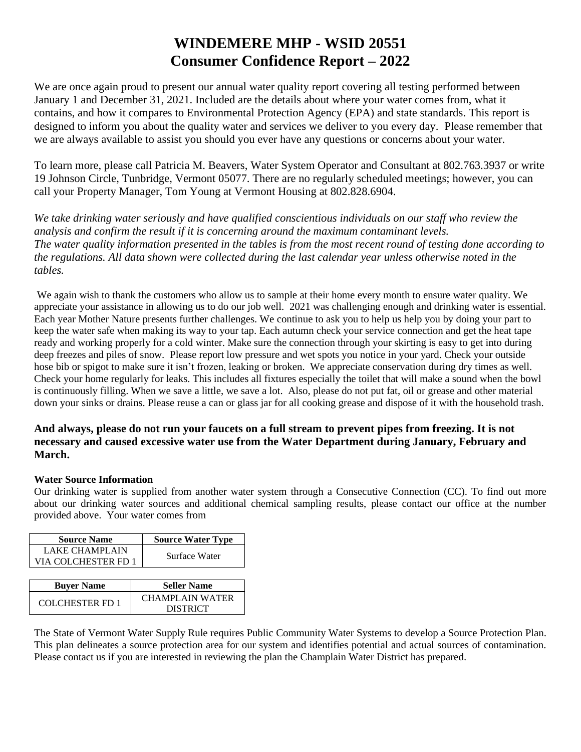# **WINDEMERE MHP - WSID 20551 Consumer Confidence Report – 2022**

We are once again proud to present our annual water quality report covering all testing performed between January 1 and December 31, 2021. Included are the details about where your water comes from, what it contains, and how it compares to Environmental Protection Agency (EPA) and state standards. This report is designed to inform you about the quality water and services we deliver to you every day. Please remember that we are always available to assist you should you ever have any questions or concerns about your water.

To learn more, please call Patricia M. Beavers, Water System Operator and Consultant at 802.763.3937 or write 19 Johnson Circle, Tunbridge, Vermont 05077. There are no regularly scheduled meetings; however, you can call your Property Manager, Tom Young at Vermont Housing at 802.828.6904.

*We take drinking water seriously and have qualified conscientious individuals on our staff who review the analysis and confirm the result if it is concerning around the maximum contaminant levels. The water quality information presented in the tables is from the most recent round of testing done according to the regulations. All data shown were collected during the last calendar year unless otherwise noted in the tables.* 

We again wish to thank the customers who allow us to sample at their home every month to ensure water quality. We appreciate your assistance in allowing us to do our job well. 2021 was challenging enough and drinking water is essential. Each year Mother Nature presents further challenges. We continue to ask you to help us help you by doing your part to keep the water safe when making its way to your tap. Each autumn check your service connection and get the heat tape ready and working properly for a cold winter. Make sure the connection through your skirting is easy to get into during deep freezes and piles of snow. Please report low pressure and wet spots you notice in your yard. Check your outside hose bib or spigot to make sure it isn't frozen, leaking or broken. We appreciate conservation during dry times as well. Check your home regularly for leaks. This includes all fixtures especially the toilet that will make a sound when the bowl is continuously filling. When we save a little, we save a lot. Also, please do not put fat, oil or grease and other material down your sinks or drains. Please reuse a can or glass jar for all cooking grease and dispose of it with the household trash.

#### **And always, please do not run your faucets on a full stream to prevent pipes from freezing. It is not necessary and caused excessive water use from the Water Department during January, February and March.**

#### **Water Source Information**

Our drinking water is supplied from another water system through a Consecutive Connection (CC). To find out more about our drinking water sources and additional chemical sampling results, please contact our office at the number provided above. Your water comes from

| <b>Source Name</b>    | <b>Source Water Type</b> |  |  |  |  |
|-----------------------|--------------------------|--|--|--|--|
| <b>LAKE CHAMPLAIN</b> | Surface Water            |  |  |  |  |
| VIA COLCHESTER FD 1   |                          |  |  |  |  |

| <b>Buyer Name</b>      | <b>Seller Name</b> |  |  |  |  |
|------------------------|--------------------|--|--|--|--|
| <b>COLCHESTER FD 1</b> | CHAMPLAIN WATER    |  |  |  |  |
|                        | DISTRICT           |  |  |  |  |

The State of Vermont Water Supply Rule requires Public Community Water Systems to develop a Source Protection Plan. This plan delineates a source protection area for our system and identifies potential and actual sources of contamination. Please contact us if you are interested in reviewing the plan the Champlain Water District has prepared.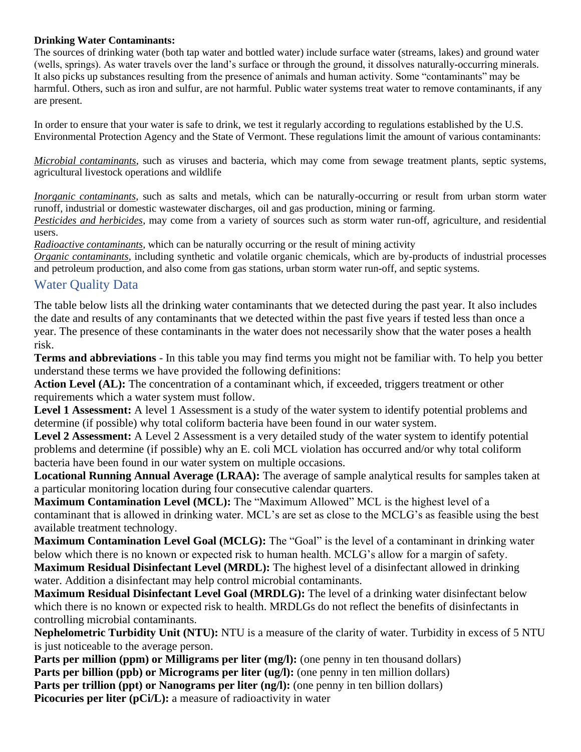#### **Drinking Water Contaminants:**

The sources of drinking water (both tap water and bottled water) include surface water (streams, lakes) and ground water (wells, springs). As water travels over the land's surface or through the ground, it dissolves naturally-occurring minerals. It also picks up substances resulting from the presence of animals and human activity. Some "contaminants" may be harmful. Others, such as iron and sulfur, are not harmful. Public water systems treat water to remove contaminants, if any are present.

In order to ensure that your water is safe to drink, we test it regularly according to regulations established by the U.S. Environmental Protection Agency and the State of Vermont. These regulations limit the amount of various contaminants:

*Microbial contaminants*, such as viruses and bacteria, which may come from sewage treatment plants, septic systems, agricultural livestock operations and wildlife

*Inorganic contaminants*, such as salts and metals, which can be naturally-occurring or result from urban storm water runoff, industrial or domestic wastewater discharges, oil and gas production, mining or farming.

*Pesticides and herbicides*, may come from a variety of sources such as storm water run-off, agriculture, and residential users.

*Radioactive contaminants*, which can be naturally occurring or the result of mining activity

*Organic contaminants*, including synthetic and volatile organic chemicals, which are by-products of industrial processes and petroleum production, and also come from gas stations, urban storm water run-off, and septic systems.

## Water Quality Data

The table below lists all the drinking water contaminants that we detected during the past year. It also includes the date and results of any contaminants that we detected within the past five years if tested less than once a year. The presence of these contaminants in the water does not necessarily show that the water poses a health risk.

**Terms and abbreviations** - In this table you may find terms you might not be familiar with. To help you better understand these terms we have provided the following definitions:

**Action Level (AL):** The concentration of a contaminant which, if exceeded, triggers treatment or other requirements which a water system must follow.

**Level 1 Assessment:** A level 1 Assessment is a study of the water system to identify potential problems and determine (if possible) why total coliform bacteria have been found in our water system.

**Level 2 Assessment:** A Level 2 Assessment is a very detailed study of the water system to identify potential problems and determine (if possible) why an E. coli MCL violation has occurred and/or why total coliform bacteria have been found in our water system on multiple occasions.

**Locational Running Annual Average (LRAA):** The average of sample analytical results for samples taken at a particular monitoring location during four consecutive calendar quarters.

**Maximum Contamination Level (MCL):** The "Maximum Allowed" MCL is the highest level of a contaminant that is allowed in drinking water. MCL's are set as close to the MCLG's as feasible using the best available treatment technology.

**Maximum Contamination Level Goal (MCLG):** The "Goal" is the level of a contaminant in drinking water below which there is no known or expected risk to human health. MCLG's allow for a margin of safety. **Maximum Residual Disinfectant Level (MRDL):** The highest level of a disinfectant allowed in drinking water. Addition a disinfectant may help control microbial contaminants.

**Maximum Residual Disinfectant Level Goal (MRDLG):** The level of a drinking water disinfectant below which there is no known or expected risk to health. MRDLGs do not reflect the benefits of disinfectants in controlling microbial contaminants.

**Nephelometric Turbidity Unit (NTU):** NTU is a measure of the clarity of water. Turbidity in excess of 5 NTU is just noticeable to the average person.

**Parts per million (ppm) or Milligrams per liter (mg/l):** (one penny in ten thousand dollars)

**Parts per billion (ppb) or Micrograms per liter (ug/l):** (one penny in ten million dollars)

**Parts per trillion (ppt) or Nanograms per liter (ng/l):** (one penny in ten billion dollars)

**Picocuries per liter (pCi/L):** a measure of radioactivity in water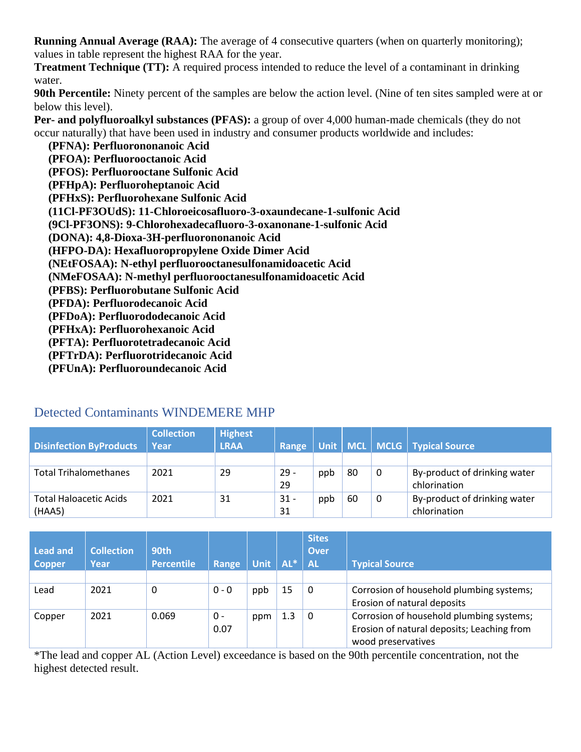**Running Annual Average (RAA):** The average of 4 consecutive quarters (when on quarterly monitoring); values in table represent the highest RAA for the year.

**Treatment Technique (TT):** A required process intended to reduce the level of a contaminant in drinking water.

**90th Percentile:** Ninety percent of the samples are below the action level. (Nine of ten sites sampled were at or below this level).

**Per- and polyfluoroalkyl substances (PFAS):** a group of over 4,000 human-made chemicals (they do not occur naturally) that have been used in industry and consumer products worldwide and includes:

 **(PFNA): Perfluorononanoic Acid (PFOA): Perfluorooctanoic Acid (PFOS): Perfluorooctane Sulfonic Acid (PFHpA): Perfluoroheptanoic Acid (PFHxS): Perfluorohexane Sulfonic Acid (11Cl-PF3OUdS): 11-Chloroeicosafluoro-3-oxaundecane-1-sulfonic Acid (9Cl-PF3ONS): 9-Chlorohexadecafluoro-3-oxanonane-1-sulfonic Acid (DONA): 4,8-Dioxa-3H-perfluorononanoic Acid (HFPO-DA): Hexafluoropropylene Oxide Dimer Acid (NEtFOSAA): N-ethyl perfluorooctanesulfonamidoacetic Acid (NMeFOSAA): N-methyl perfluorooctanesulfonamidoacetic Acid (PFBS): Perfluorobutane Sulfonic Acid (PFDA): Perfluorodecanoic Acid (PFDoA): Perfluorododecanoic Acid (PFHxA): Perfluorohexanoic Acid (PFTA): Perfluorotetradecanoic Acid (PFTrDA): Perfluorotridecanoic Acid (PFUnA): Perfluoroundecanoic Acid**

#### **Disinfection ByProducts Collection Year Highest LRAA Range Unit MCL MCLG Typical Source** Total Trihalomethanes 2021 29 29 - 29 ppb 80 0 By-product of drinking water chlorination Total Haloacetic Acids (HAA5) 2021 31 31 -31 ppb  $\begin{vmatrix} 60 \\ 0 \end{vmatrix}$  By-product of drinking water chlorination

## Detected Contaminants WINDEMERE MHP

| Lead and<br><b>Copper</b> | <b>Collection</b><br>Year | 90th<br><b>Percentile</b> | Range   | Unit $\vert$ AL* |     | <b>Sites</b><br><b>Over</b><br><b>AL</b> | <b>Typical Source</b>                      |
|---------------------------|---------------------------|---------------------------|---------|------------------|-----|------------------------------------------|--------------------------------------------|
|                           |                           |                           |         |                  |     |                                          |                                            |
| Lead                      | 2021                      | 0                         | $0 - 0$ | ppb              | 15  | 0                                        | Corrosion of household plumbing systems;   |
|                           |                           |                           |         |                  |     |                                          | Erosion of natural deposits                |
| Copper                    | 2021                      | 0.069                     | 0 -     | ppm              | 1.3 | 0                                        | Corrosion of household plumbing systems;   |
|                           |                           |                           | 0.07    |                  |     |                                          | Erosion of natural deposits; Leaching from |
|                           |                           |                           |         |                  |     |                                          | wood preservatives                         |

\*The lead and copper AL (Action Level) exceedance is based on the 90th percentile concentration, not the highest detected result.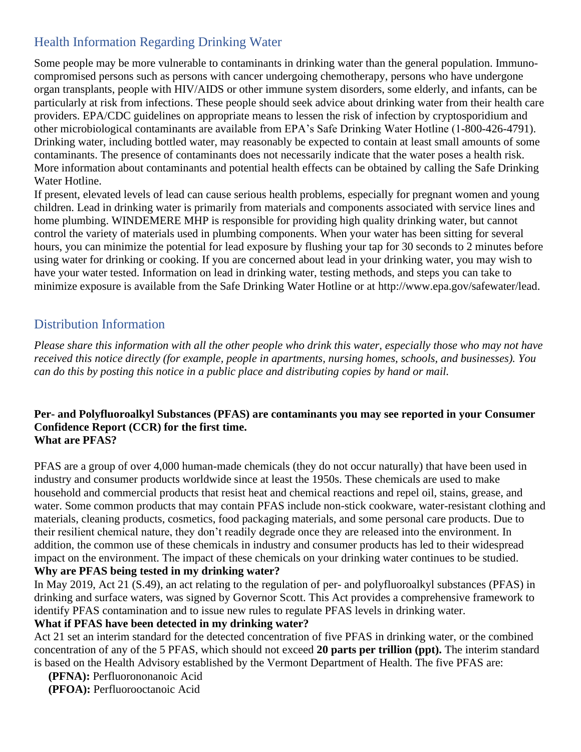# Health Information Regarding Drinking Water

Some people may be more vulnerable to contaminants in drinking water than the general population. Immunocompromised persons such as persons with cancer undergoing chemotherapy, persons who have undergone organ transplants, people with HIV/AIDS or other immune system disorders, some elderly, and infants, can be particularly at risk from infections. These people should seek advice about drinking water from their health care providers. EPA/CDC guidelines on appropriate means to lessen the risk of infection by cryptosporidium and other microbiological contaminants are available from EPA's Safe Drinking Water Hotline (1-800-426-4791). Drinking water, including bottled water, may reasonably be expected to contain at least small amounts of some contaminants. The presence of contaminants does not necessarily indicate that the water poses a health risk. More information about contaminants and potential health effects can be obtained by calling the Safe Drinking Water Hotline.

If present, elevated levels of lead can cause serious health problems, especially for pregnant women and young children. Lead in drinking water is primarily from materials and components associated with service lines and home plumbing. WINDEMERE MHP is responsible for providing high quality drinking water, but cannot control the variety of materials used in plumbing components. When your water has been sitting for several hours, you can minimize the potential for lead exposure by flushing your tap for 30 seconds to 2 minutes before using water for drinking or cooking. If you are concerned about lead in your drinking water, you may wish to have your water tested. Information on lead in drinking water, testing methods, and steps you can take to minimize exposure is available from the Safe Drinking Water Hotline or at [http://www.epa.gov/safewater/lead.](http://www.epa.gov/safewater/lead)

## Distribution Information

*Please share this information with all the other people who drink this water, especially those who may not have received this notice directly (for example, people in apartments, nursing homes, schools, and businesses). You can do this by posting this notice in a public place and distributing copies by hand or mail.*

#### **Per- and Polyfluoroalkyl Substances (PFAS) are contaminants you may see reported in your Consumer Confidence Report (CCR) for the first time. What are PFAS?**

PFAS are a group of over 4,000 human-made chemicals (they do not occur naturally) that have been used in industry and consumer products worldwide since at least the 1950s. These chemicals are used to make household and commercial products that resist heat and chemical reactions and repel oil, stains, grease, and water. Some common products that may contain PFAS include non-stick cookware, water-resistant clothing and materials, cleaning products, cosmetics, food packaging materials, and some personal care products. Due to their resilient chemical nature, they don't readily degrade once they are released into the environment. In addition, the common use of these chemicals in industry and consumer products has led to their widespread impact on the environment. The impact of these chemicals on your drinking water continues to be studied. **Why are PFAS being tested in my drinking water?**

In May 2019, Act 21 (S.49), an act relating to the regulation of per- and polyfluoroalkyl substances (PFAS) in drinking and surface waters, was signed by Governor Scott. This Act provides a comprehensive framework to identify PFAS contamination and to issue new rules to regulate PFAS levels in drinking water.

### **What if PFAS have been detected in my drinking water?**

Act 21 set an interim standard for the detected concentration of five PFAS in drinking water, or the combined concentration of any of the 5 PFAS, which should not exceed **20 parts per trillion (ppt).** The interim standard is based on the Health Advisory established by the Vermont Department of Health. The five PFAS are:

 **(PFNA):** Perfluorononanoic Acid **(PFOA):** Perfluorooctanoic Acid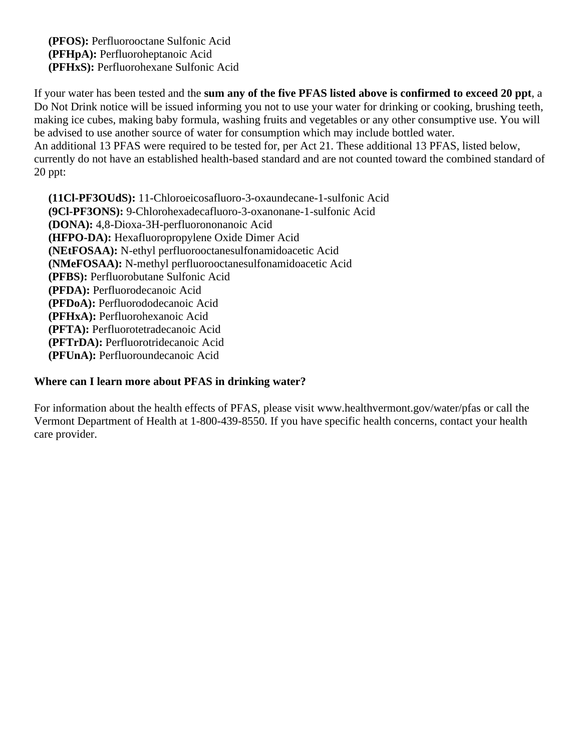**(PFOS):** Perfluorooctane Sulfonic Acid **(PFHpA):** Perfluoroheptanoic Acid **(PFHxS):** Perfluorohexane Sulfonic Acid

If your water has been tested and the **sum any of the five PFAS listed above is confirmed to exceed 20 ppt**, a Do Not Drink notice will be issued informing you not to use your water for drinking or cooking, brushing teeth, making ice cubes, making baby formula, washing fruits and vegetables or any other consumptive use. You will be advised to use another source of water for consumption which may include bottled water. An additional 13 PFAS were required to be tested for, per Act 21. These additional 13 PFAS, listed below, currently do not have an established health-based standard and are not counted toward the combined standard of 20 ppt:

 **(11Cl-PF3OUdS):** 11-Chloroeicosafluoro-3-oxaundecane-1-sulfonic Acid **(9Cl-PF3ONS):** 9-Chlorohexadecafluoro-3-oxanonane-1-sulfonic Acid **(DONA):** 4,8-Dioxa-3H-perfluorononanoic Acid **(HFPO-DA):** Hexafluoropropylene Oxide Dimer Acid **(NEtFOSAA):** N-ethyl perfluorooctanesulfonamidoacetic Acid **(NMeFOSAA):** N-methyl perfluorooctanesulfonamidoacetic Acid **(PFBS):** Perfluorobutane Sulfonic Acid **(PFDA):** Perfluorodecanoic Acid **(PFDoA):** Perfluorododecanoic Acid **(PFHxA):** Perfluorohexanoic Acid **(PFTA):** Perfluorotetradecanoic Acid **(PFTrDA):** Perfluorotridecanoic Acid **(PFUnA):** Perfluoroundecanoic Acid

#### **Where can I learn more about PFAS in drinking water?**

For information about the health effects of PFAS, please visit [www.healthvermont.gov/water/pfas](../../../Downloads/www.healthvermont.gov/water/pfas) or call the Vermont Department of Health at 1-800-439-8550. If you have specific health concerns, contact your health care provider.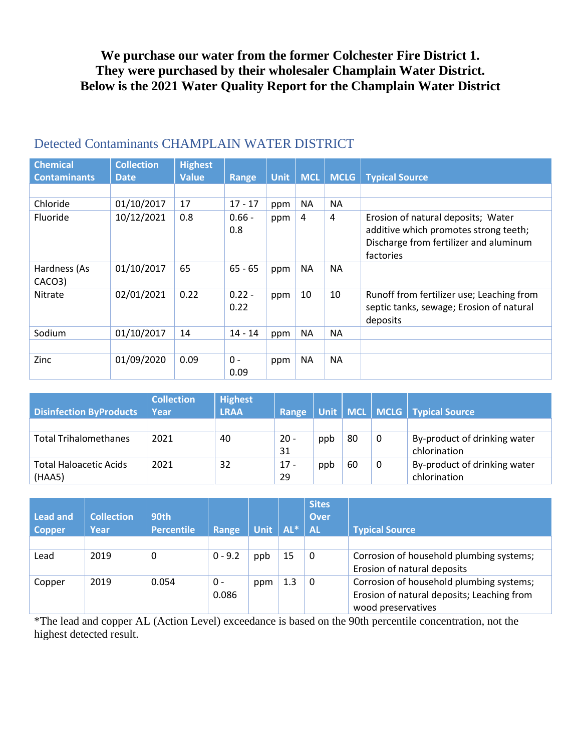## **We purchase our water from the former Colchester Fire District 1. They were purchased by their wholesaler Champlain Water District. Below is the 2021 Water Quality Report for the Champlain Water District**

| <b>Chemical</b>        | <b>Collection</b> | <b>Highest</b> |                  |             |            |             |                                                                                                                                    |
|------------------------|-------------------|----------------|------------------|-------------|------------|-------------|------------------------------------------------------------------------------------------------------------------------------------|
| <b>Contaminants</b>    | <b>Date</b>       | <b>Value</b>   | <b>Range</b>     | <b>Unit</b> | <b>MCL</b> | <b>MCLG</b> | <b>Typical Source</b>                                                                                                              |
|                        |                   |                |                  |             |            |             |                                                                                                                                    |
| Chloride               | 01/10/2017        | 17             | $17 - 17$        | ppm         | <b>NA</b>  | <b>NA</b>   |                                                                                                                                    |
| Fluoride               | 10/12/2021        | 0.8            | $0.66 -$<br>0.8  | ppm         | 4          | 4           | Erosion of natural deposits; Water<br>additive which promotes strong teeth;<br>Discharge from fertilizer and aluminum<br>factories |
| Hardness (As<br>CACO3) | 01/10/2017        | 65             | $65 - 65$        | ppm         | <b>NA</b>  | <b>NA</b>   |                                                                                                                                    |
| Nitrate                | 02/01/2021        | 0.22           | $0.22 -$<br>0.22 | ppm         | 10         | 10          | Runoff from fertilizer use; Leaching from<br>septic tanks, sewage; Erosion of natural<br>deposits                                  |
| Sodium                 | 01/10/2017        | 14             | $14 - 14$        | ppm         | <b>NA</b>  | <b>NA</b>   |                                                                                                                                    |
|                        |                   |                |                  |             |            |             |                                                                                                                                    |
| Zinc                   | 01/09/2020        | 0.09           | $0 -$<br>0.09    | ppm         | <b>NA</b>  | <b>NA</b>   |                                                                                                                                    |

## Detected Contaminants CHAMPLAIN WATER DISTRICT

| <b>Disinfection ByProducts</b>          | <b>Collection</b><br>Year | <b>Highest</b><br><b>LRAA</b> | Range        |     |    |   | Unit   MCL   MCLG   Typical Source           |
|-----------------------------------------|---------------------------|-------------------------------|--------------|-----|----|---|----------------------------------------------|
|                                         |                           |                               |              |     |    |   |                                              |
| <b>Total Trihalomethanes</b>            | 2021                      | 40                            | - 20<br>31   | ppb | 80 | 0 | By-product of drinking water<br>chlorination |
| <b>Total Haloacetic Acids</b><br>(HAA5) | 2021                      | 32                            | $17 -$<br>29 | ppb | 60 | 0 | By-product of drinking water<br>chlorination |

| Lead and<br><b>Copper</b> | <b>Collection</b><br>Year | 90th<br><b>Percentile</b> | Range        | <b>Unit</b> | $AL^*$ | <b>Sites</b><br>Over<br><b>AL</b> | <b>Typical Source</b>                                                                                        |
|---------------------------|---------------------------|---------------------------|--------------|-------------|--------|-----------------------------------|--------------------------------------------------------------------------------------------------------------|
| Lead                      | 2019                      | 0                         | $0 - 9.2$    | ppb         | 15     | 0                                 | Corrosion of household plumbing systems;<br>Erosion of natural deposits                                      |
| Copper                    | 2019                      | 0.054                     | 0 -<br>0.086 | ppm         | 1.3    | 0                                 | Corrosion of household plumbing systems;<br>Erosion of natural deposits; Leaching from<br>wood preservatives |

\*The lead and copper AL (Action Level) exceedance is based on the 90th percentile concentration, not the highest detected result.